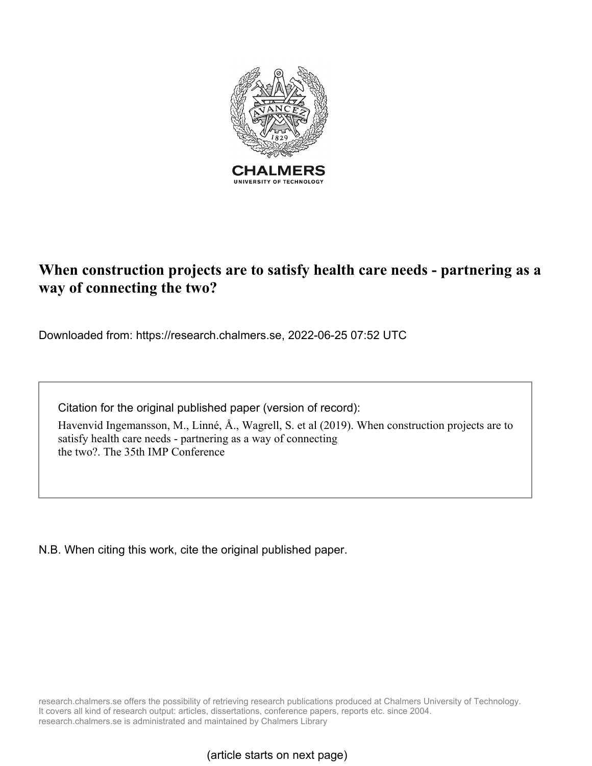

# **When construction projects are to satisfy health care needs - partnering as a way of connecting the two?**

Downloaded from: https://research.chalmers.se, 2022-06-25 07:52 UTC

Citation for the original published paper (version of record):

Havenvid Ingemansson, M., Linné, Å., Wagrell, S. et al (2019). When construction projects are to satisfy health care needs - partnering as a way of connecting the two?. The 35th IMP Conference

N.B. When citing this work, cite the original published paper.

research.chalmers.se offers the possibility of retrieving research publications produced at Chalmers University of Technology. It covers all kind of research output: articles, dissertations, conference papers, reports etc. since 2004. research.chalmers.se is administrated and maintained by Chalmers Library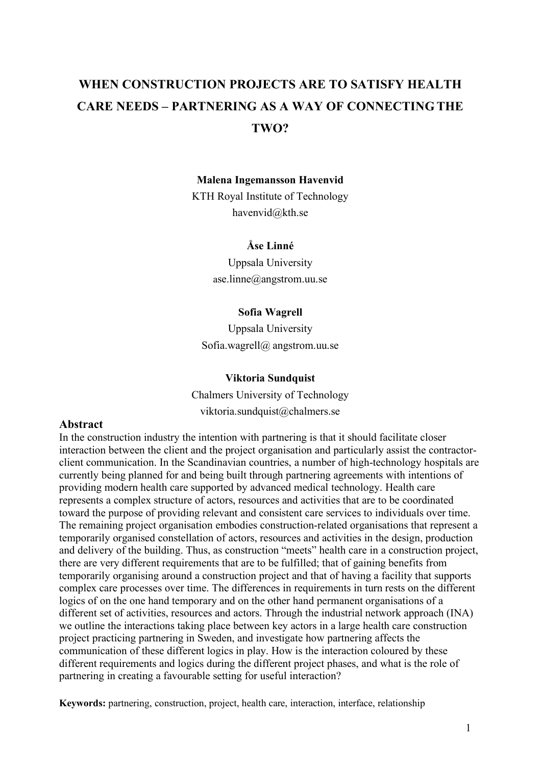# **WHEN CONSTRUCTION PROJECTS ARE TO SATISFY HEALTH CARE NEEDS – PARTNERING AS A WAY OF CONNECTINGTHE TWO?**

#### **Malena Ingemansson Havenvid**

KTH Royal Institute of Technology havenvid@kth.se

# **Åse Linné**

Uppsala University ase.linne@angstrom.uu.se

#### **Sofia Wagrell**

Uppsala University Sofia.wagrell@ angstrom.uu.se

#### **Viktoria Sundquist**

Chalmers University of Technology viktoria.sundquist@chalmers.se

# **Abstract**

In the construction industry the intention with partnering is that it should facilitate closer interaction between the client and the project organisation and particularly assist the contractorclient communication. In the Scandinavian countries, a number of high-technology hospitals are currently being planned for and being built through partnering agreements with intentions of providing modern health care supported by advanced medical technology. Health care represents a complex structure of actors, resources and activities that are to be coordinated toward the purpose of providing relevant and consistent care services to individuals over time. The remaining project organisation embodies construction-related organisations that represent a temporarily organised constellation of actors, resources and activities in the design, production and delivery of the building. Thus, as construction "meets" health care in a construction project, there are very different requirements that are to be fulfilled; that of gaining benefits from temporarily organising around a construction project and that of having a facility that supports complex care processes over time. The differences in requirements in turn rests on the different logics of on the one hand temporary and on the other hand permanent organisations of a different set of activities, resources and actors. Through the industrial network approach (INA) we outline the interactions taking place between key actors in a large health care construction project practicing partnering in Sweden, and investigate how partnering affects the communication of these different logics in play. How is the interaction coloured by these different requirements and logics during the different project phases, and what is the role of partnering in creating a favourable setting for useful interaction?

**Keywords:** partnering, construction, project, health care, interaction, interface, relationship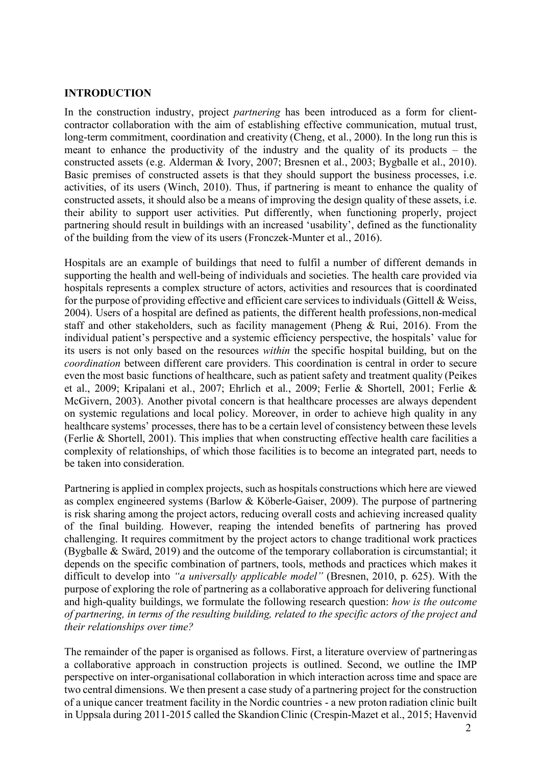# **INTRODUCTION**

In the construction industry, project *partnering* has been introduced as a form for clientcontractor collaboration with the aim of establishing effective communication, mutual trust, long-term commitment, coordination and creativity (Cheng, et al., 2000). In the long run this is meant to enhance the productivity of the industry and the quality of its products – the constructed assets (e.g. Alderman & Ivory, 2007; Bresnen et al., 2003; Bygballe et al., 2010). Basic premises of constructed assets is that they should support the business processes, i.e. activities, of its users (Winch, 2010). Thus, if partnering is meant to enhance the quality of constructed assets, it should also be a means of improving the design quality of these assets, i.e. their ability to support user activities. Put differently, when functioning properly, project partnering should result in buildings with an increased 'usability', defined as the functionality of the building from the view of its users (Fronczek-Munter et al., 2016).

Hospitals are an example of buildings that need to fulfil a number of different demands in supporting the health and well-being of individuals and societies. The health care provided via hospitals represents a complex structure of actors, activities and resources that is coordinated for the purpose of providing effective and efficient care services to individuals (Gittell  $&$  Weiss, 2004). Users of a hospital are defined as patients, the different health professions,non-medical staff and other stakeholders, such as facility management (Pheng & Rui, 2016). From the individual patient's perspective and a systemic efficiency perspective, the hospitals' value for its users is not only based on the resources *within* the specific hospital building, but on the *coordination* between different care providers. This coordination is central in order to secure even the most basic functions of healthcare, such as patient safety and treatment quality (Peikes et al., 2009; Kripalani et al., 2007; Ehrlich et al., 2009; Ferlie & Shortell, 2001; Ferlie & McGivern, 2003). Another pivotal concern is that healthcare processes are always dependent on systemic regulations and local policy. Moreover, in order to achieve high quality in any healthcare systems' processes, there has to be a certain level of consistency between these levels (Ferlie & Shortell, 2001). This implies that when constructing effective health care facilities a complexity of relationships, of which those facilities is to become an integrated part, needs to be taken into consideration.

Partnering is applied in complex projects, such as hospitals constructions which here are viewed as complex engineered systems (Barlow & Köberle-Gaiser, 2009). The purpose of partnering is risk sharing among the project actors, reducing overall costs and achieving increased quality of the final building. However, reaping the intended benefits of partnering has proved challenging. It requires commitment by the project actors to change traditional work practices (Bygballe & Swärd, 2019) and the outcome of the temporary collaboration is circumstantial; it depends on the specific combination of partners, tools, methods and practices which makes it difficult to develop into *"a universally applicable model"* (Bresnen, 2010, p. 625). With the purpose of exploring the role of partnering as a collaborative approach for delivering functional and high-quality buildings, we formulate the following research question: *how is the outcome of partnering, in terms of the resulting building, related to the specific actors of the project and their relationships over time?*

The remainder of the paper is organised as follows. First, a literature overview of partneringas a collaborative approach in construction projects is outlined. Second, we outline the IMP perspective on inter-organisational collaboration in which interaction across time and space are two central dimensions. We then present a case study of a partnering project for the construction of a unique cancer treatment facility in the Nordic countries - a new proton radiation clinic built in Uppsala during 2011-2015 called the SkandionClinic (Crespin-Mazet et al., 2015; Havenvid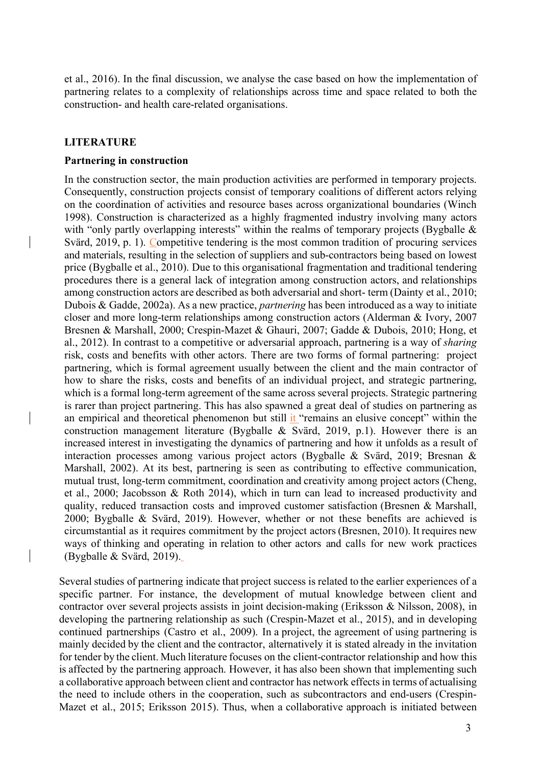et al., 2016). In the final discussion, we analyse the case based on how the implementation of partnering relates to a complexity of relationships across time and space related to both the construction- and health care-related organisations.

# **LITERATURE**

#### **Partnering in construction**

In the construction sector, the main production activities are performed in temporary projects. Consequently, construction projects consist of temporary coalitions of different actors relying on the coordination of activities and resource bases across organizational boundaries (Winch 1998). Construction is characterized as a highly fragmented industry involving many actors with "only partly overlapping interests" within the realms of temporary projects (Bygballe & Svärd, 2019, p. 1). Competitive tendering is the most common tradition of procuring services and materials, resulting in the selection of suppliers and sub-contractors being based on lowest price (Bygballe et al., 2010). Due to this organisational fragmentation and traditional tendering procedures there is a general lack of integration among construction actors, and relationships among construction actors are described as both adversarial and short- term (Dainty et al., 2010; Dubois & Gadde, 2002a). As a new practice, *partnering* has been introduced as a way to initiate closer and more long-term relationships among construction actors (Alderman & Ivory, 2007 Bresnen & Marshall, 2000; Crespin-Mazet & Ghauri, 2007; Gadde & Dubois, 2010; Hong, et al., 2012). In contrast to a competitive or adversarial approach, partnering is a way of *sharing*  risk, costs and benefits with other actors. There are two forms of formal partnering: project partnering, which is formal agreement usually between the client and the main contractor of how to share the risks, costs and benefits of an individual project, and strategic partnering, which is a formal long-term agreement of the same across several projects. Strategic partnering is rarer than project partnering. This has also spawned a great deal of studies on partnering as an empirical and theoretical phenomenon but still it "remains an elusive concept" within the construction management literature (Bygballe & Svärd, 2019, p.1). However there is an increased interest in investigating the dynamics of partnering and how it unfolds as a result of interaction processes among various project actors (Bygballe & Svärd, 2019; Bresnan & Marshall, 2002). At its best, partnering is seen as contributing to effective communication, mutual trust, long-term commitment, coordination and creativity among project actors (Cheng, et al., 2000; Jacobsson & Roth 2014), which in turn can lead to increased productivity and quality, reduced transaction costs and improved customer satisfaction (Bresnen & Marshall, 2000; Bygballe & Svärd, 2019). However, whether or not these benefits are achieved is circumstantial as it requires commitment by the project actors(Bresnen, 2010). It requires new ways of thinking and operating in relation to other actors and calls for new work practices (Bygballe & Svärd, 2019).

Several studies of partnering indicate that project success is related to the earlier experiences of a specific partner. For instance, the development of mutual knowledge between client and contractor over several projects assists in joint decision-making (Eriksson & Nilsson, 2008), in developing the partnering relationship as such (Crespin-Mazet et al., 2015), and in developing continued partnerships (Castro et al., 2009). In a project, the agreement of using partnering is mainly decided by the client and the contractor, alternatively it is stated already in the invitation for tender by the client. Much literature focuses on the client-contractor relationship and how this is affected by the partnering approach. However, it has also been shown that implementing such a collaborative approach between client and contractor has network effects in terms of actualising the need to include others in the cooperation, such as subcontractors and end-users (Crespin-Mazet et al., 2015; Eriksson 2015). Thus, when a collaborative approach is initiated between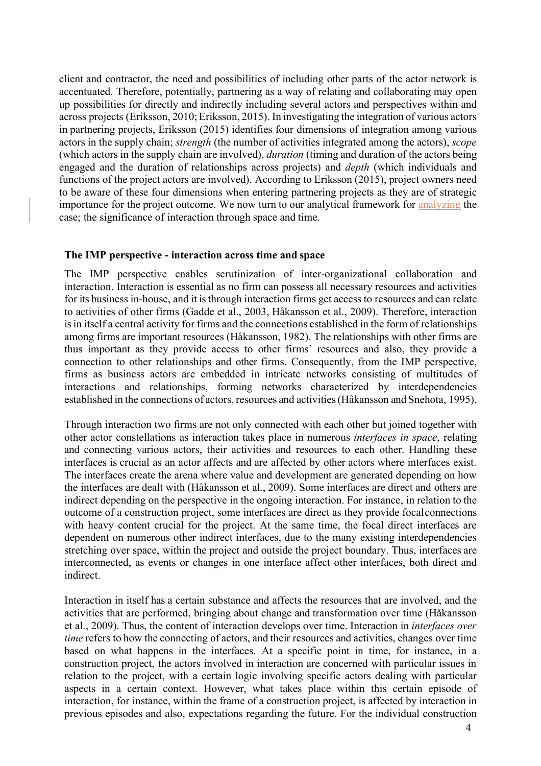client and contractor, the need and possibilities of including other parts of the actor network is accentuated. Therefore, potentially, partnering as a way of relating and collaborating may open up possibilities for directly and indirectly including several actors and perspectives within and across projects (Eriksson, 2010; Eriksson, 2015). In investigating the integration of various actors in partnering projects, Eriksson (2015) identifies four dimensions of integration among various actors in the supply chain; *strength* (the number of activities integrated among the actors), *scope*  (which actors in the supply chain are involved), *duration* (timing and duration of the actors being engaged and the duration of relationships across projects) and *depth* (which individuals and functions of the project actors are involved). According to Eriksson (2015), project owners need to be aware of these four dimensions when entering partnering projects as they are of strategic importance for the project outcome. We now turn to our analytical framework for analyzing the case; the significance of interaction through space and time.

#### **The IMP perspective - interaction across time and space**

The IMP perspective enables scrutinization of inter-organizational collaboration and interaction. Interaction is essential as no firm can possess all necessary resources and activities for its business in-house, and it is through interaction firms get access to resources and can relate to activities of other firms (Gadde et al., 2003, Håkansson et al., 2009). Therefore, interaction is in itself a central activity for firms and the connections established in the form of relationships among firms are important resources (Håkansson, 1982). The relationships with other firms are thus important as they provide access to other firms' resources and also, they provide a connection to other relationships and other firms. Consequently, from the IMP perspective, firms as business actors are embedded in intricate networks consisting of multitudes of interactions and relationships, forming networks characterized by interdependencies established in the connections of actors, resources and activities(Håkansson and Snehota, 1995).

Through interaction two firms are not only connected with each other but joined together with other actor constellations as interaction takes place in numerous *interfaces in space*, relating and connecting various actors, their activities and resources to each other. Handling these interfaces is crucial as an actor affects and are affected by other actors where interfaces exist. The interfaces create the arena where value and development are generated depending on how the interfaces are dealt with (Håkansson et al., 2009). Some interfaces are direct and others are indirect depending on the perspective in the ongoing interaction. For instance, in relation to the outcome of a construction project, some interfaces are direct as they provide focalconnections with heavy content crucial for the project. At the same time, the focal direct interfaces are dependent on numerous other indirect interfaces, due to the many existing interdependencies stretching over space, within the project and outside the project boundary. Thus, interfaces are interconnected, as events or changes in one interface affect other interfaces, both direct and indirect.

Interaction in itself has a certain substance and affects the resources that are involved, and the activities that are performed, bringing about change and transformation over time (Håkansson et al., 2009). Thus, the content of interaction develops over time. Interaction in *interfaces over time* refers to how the connecting of actors, and their resources and activities, changes over time based on what happens in the interfaces. At a specific point in time, for instance, in a construction project, the actors involved in interaction are concerned with particular issues in relation to the project, with a certain logic involving specific actors dealing with particular aspects in a certain context. However, what takes place within this certain episode of interaction, for instance, within the frame of a construction project, is affected by interaction in previous episodes and also, expectations regarding the future. For the individual construction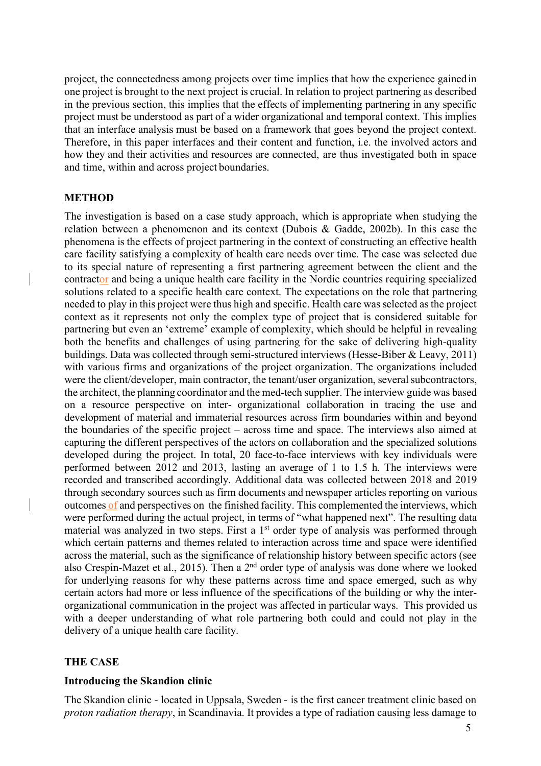project, the connectedness among projects over time implies that how the experience gainedin one project is brought to the next project is crucial. In relation to project partnering as described in the previous section, this implies that the effects of implementing partnering in any specific project must be understood as part of a wider organizational and temporal context. This implies that an interface analysis must be based on a framework that goes beyond the project context. Therefore, in this paper interfaces and their content and function, i.e. the involved actors and how they and their activities and resources are connected, are thus investigated both in space and time, within and across project boundaries.

# **METHOD**

The investigation is based on a case study approach, which is appropriate when studying the relation between a phenomenon and its context (Dubois & Gadde, 2002b). In this case the phenomena is the effects of project partnering in the context of constructing an effective health care facility satisfying a complexity of health care needs over time. The case was selected due to its special nature of representing a first partnering agreement between the client and the contractor and being a unique health care facility in the Nordic countries requiring specialized solutions related to a specific health care context. The expectations on the role that partnering needed to play in this project were thus high and specific. Health care was selected as the project context as it represents not only the complex type of project that is considered suitable for partnering but even an 'extreme' example of complexity, which should be helpful in revealing both the benefits and challenges of using partnering for the sake of delivering high-quality buildings. Data was collected through semi-structured interviews (Hesse-Biber & Leavy, 2011) with various firms and organizations of the project organization. The organizations included were the client/developer, main contractor, the tenant/user organization, several subcontractors, the architect, the planning coordinator and the med-tech supplier. The interview guide was based on a resource perspective on inter- organizational collaboration in tracing the use and development of material and immaterial resources across firm boundaries within and beyond the boundaries of the specific project – across time and space. The interviews also aimed at capturing the different perspectives of the actors on collaboration and the specialized solutions developed during the project. In total, 20 face-to-face interviews with key individuals were performed between 2012 and 2013, lasting an average of 1 to 1.5 h. The interviews were recorded and transcribed accordingly. Additional data was collected between 2018 and 2019 through secondary sources such as firm documents and newspaper articles reporting on various outcomes of and perspectives on the finished facility. This complemented the interviews, which were performed during the actual project, in terms of "what happened next". The resulting data material was analyzed in two steps. First a 1<sup>st</sup> order type of analysis was performed through which certain patterns and themes related to interaction across time and space were identified across the material, such as the significance of relationship history between specific actors (see also Crespin-Mazet et al., 2015). Then a 2nd order type of analysis was done where we looked for underlying reasons for why these patterns across time and space emerged, such as why certain actors had more or less influence of the specifications of the building or why the interorganizational communication in the project was affected in particular ways. This provided us with a deeper understanding of what role partnering both could and could not play in the delivery of a unique health care facility.

# **THE CASE**

#### **Introducing the Skandion clinic**

The Skandion clinic - located in Uppsala, Sweden - is the first cancer treatment clinic based on *proton radiation therapy*, in Scandinavia. It provides a type of radiation causing less damage to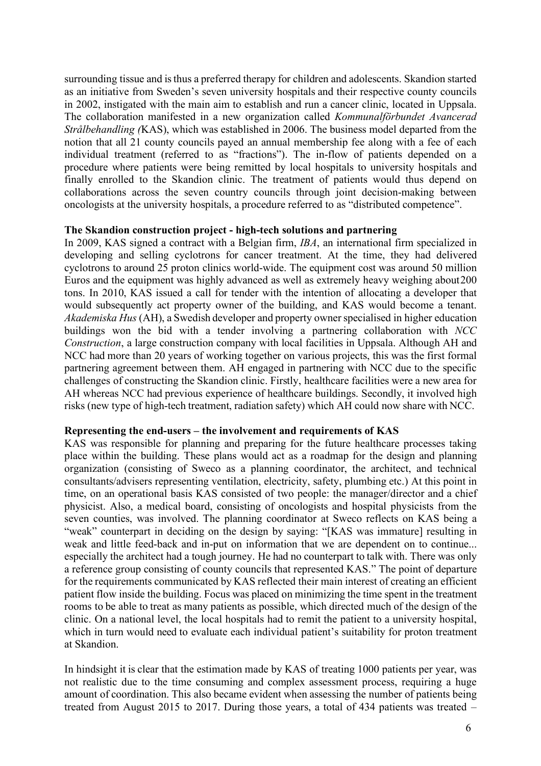surrounding tissue and is thus a preferred therapy for children and adolescents. Skandion started as an initiative from Sweden's seven university hospitals and their respective county councils in 2002, instigated with the main aim to establish and run a cancer clinic, located in Uppsala. The collaboration manifested in a new organization called *Kommunalförbundet Avancerad Strålbehandling (*KAS), which was established in 2006. The business model departed from the notion that all 21 county councils payed an annual membership fee along with a fee of each individual treatment (referred to as "fractions"). The in-flow of patients depended on a procedure where patients were being remitted by local hospitals to university hospitals and finally enrolled to the Skandion clinic. The treatment of patients would thus depend on collaborations across the seven country councils through joint decision-making between oncologists at the university hospitals, a procedure referred to as "distributed competence".

## **The Skandion construction project - high-tech solutions and partnering**

In 2009, KAS signed a contract with a Belgian firm, *IBA*, an international firm specialized in developing and selling cyclotrons for cancer treatment. At the time, they had delivered cyclotrons to around 25 proton clinics world-wide. The equipment cost was around 50 million Euros and the equipment was highly advanced as well as extremely heavy weighing about200 tons. In 2010, KAS issued a call for tender with the intention of allocating a developer that would subsequently act property owner of the building, and KAS would become a tenant. *Akademiska Hus* (AH), a Swedish developer and property owner specialised in higher education buildings won the bid with a tender involving a partnering collaboration with *NCC Construction*, a large construction company with local facilities in Uppsala. Although AH and NCC had more than 20 years of working together on various projects, this was the first formal partnering agreement between them. AH engaged in partnering with NCC due to the specific challenges of constructing the Skandion clinic. Firstly, healthcare facilities were a new area for AH whereas NCC had previous experience of healthcare buildings. Secondly, it involved high risks (new type of high-tech treatment, radiation safety) which AH could now share with NCC.

## **Representing the end-users – the involvement and requirements of KAS**

KAS was responsible for planning and preparing for the future healthcare processes taking place within the building. These plans would act as a roadmap for the design and planning organization (consisting of Sweco as a planning coordinator, the architect, and technical consultants/advisers representing ventilation, electricity, safety, plumbing etc.) At this point in time, on an operational basis KAS consisted of two people: the manager/director and a chief physicist. Also, a medical board, consisting of oncologists and hospital physicists from the seven counties, was involved. The planning coordinator at Sweco reflects on KAS being a "weak" counterpart in deciding on the design by saying: "[KAS was immature] resulting in weak and little feed-back and in-put on information that we are dependent on to continue... especially the architect had a tough journey. He had no counterpart to talk with. There was only a reference group consisting of county councils that represented KAS." The point of departure for the requirements communicated by KAS reflected their main interest of creating an efficient patient flow inside the building. Focus was placed on minimizing the time spent in the treatment rooms to be able to treat as many patients as possible, which directed much of the design of the clinic. On a national level, the local hospitals had to remit the patient to a university hospital, which in turn would need to evaluate each individual patient's suitability for proton treatment at Skandion.

In hindsight it is clear that the estimation made by KAS of treating 1000 patients per year, was not realistic due to the time consuming and complex assessment process, requiring a huge amount of coordination. This also became evident when assessing the number of patients being treated from August 2015 to 2017. During those years, a total of 434 patients was treated –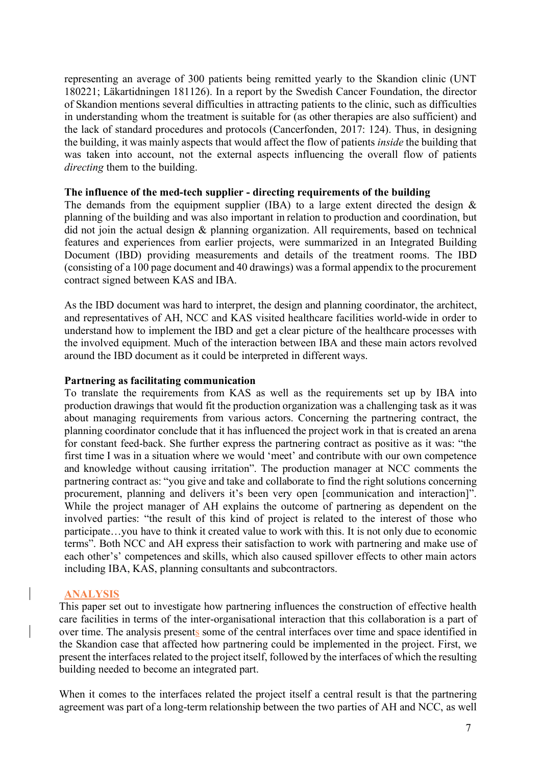representing an average of 300 patients being remitted yearly to the Skandion clinic (UNT 180221; Läkartidningen 181126). In a report by the Swedish Cancer Foundation, the director of Skandion mentions several difficulties in attracting patients to the clinic, such as difficulties in understanding whom the treatment is suitable for (as other therapies are also sufficient) and the lack of standard procedures and protocols (Cancerfonden, 2017: 124). Thus, in designing the building, it was mainly aspects that would affect the flow of patients *inside* the building that was taken into account, not the external aspects influencing the overall flow of patients *directing* them to the building.

### **The influence of the med-tech supplier - directing requirements of the building**

The demands from the equipment supplier (IBA) to a large extent directed the design  $\&$ planning of the building and was also important in relation to production and coordination, but did not join the actual design & planning organization. All requirements, based on technical features and experiences from earlier projects, were summarized in an Integrated Building Document (IBD) providing measurements and details of the treatment rooms. The IBD (consisting of a 100 page document and 40 drawings) was a formal appendix to the procurement contract signed between KAS and IBA.

As the IBD document was hard to interpret, the design and planning coordinator, the architect, and representatives of AH, NCC and KAS visited healthcare facilities world-wide in order to understand how to implement the IBD and get a clear picture of the healthcare processes with the involved equipment. Much of the interaction between IBA and these main actors revolved around the IBD document as it could be interpreted in different ways.

## **Partnering as facilitating communication**

To translate the requirements from KAS as well as the requirements set up by IBA into production drawings that would fit the production organization was a challenging task as it was about managing requirements from various actors. Concerning the partnering contract, the planning coordinator conclude that it has influenced the project work in that is created an arena for constant feed-back. She further express the partnering contract as positive as it was: "the first time I was in a situation where we would 'meet' and contribute with our own competence and knowledge without causing irritation". The production manager at NCC comments the partnering contract as: "you give and take and collaborate to find the right solutions concerning procurement, planning and delivers it's been very open [communication and interaction]". While the project manager of AH explains the outcome of partnering as dependent on the involved parties: "the result of this kind of project is related to the interest of those who participate…you have to think it created value to work with this. It is not only due to economic terms". Both NCC and AH express their satisfaction to work with partnering and make use of each other's' competences and skills, which also caused spillover effects to other main actors including IBA, KAS, planning consultants and subcontractors.

# **ANALYSIS**

This paper set out to investigate how partnering influences the construction of effective health care facilities in terms of the inter-organisational interaction that this collaboration is a part of over time. The analysis presents some of the central interfaces over time and space identified in the Skandion case that affected how partnering could be implemented in the project. First, we present the interfaces related to the project itself, followed by the interfaces of which the resulting building needed to become an integrated part.

When it comes to the interfaces related the project itself a central result is that the partnering agreement was part of a long-term relationship between the two parties of AH and NCC, as well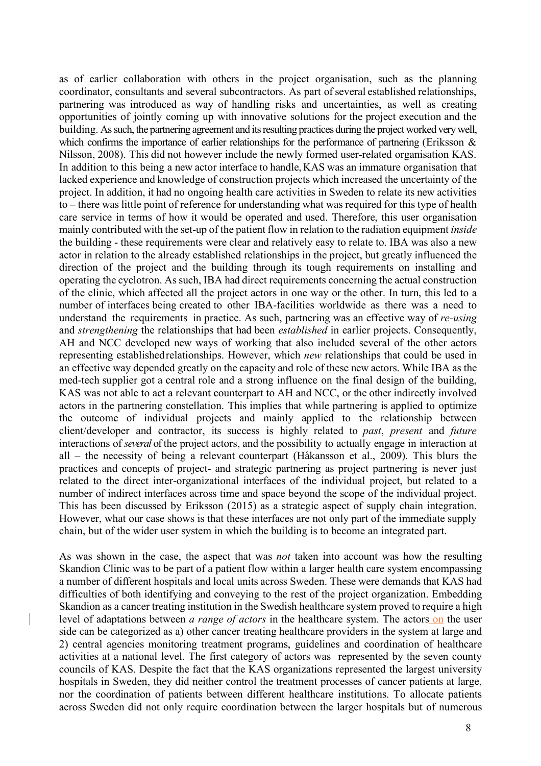as of earlier collaboration with others in the project organisation, such as the planning coordinator, consultants and several subcontractors. As part of several established relationships, partnering was introduced as way of handling risks and uncertainties, as well as creating opportunities of jointly coming up with innovative solutions for the project execution and the building. As such, the partnering agreement and its resulting practices during the project worked very well, which confirms the importance of earlier relationships for the performance of partnering (Eriksson  $\&$ Nilsson, 2008). This did not however include the newly formed user-related organisation KAS. In addition to this being a new actor interface to handle, KAS was an immature organisation that lacked experience and knowledge of construction projects which increased the uncertainty of the project. In addition, it had no ongoing health care activities in Sweden to relate its new activities to – there was little point of reference for understanding what was required for this type of health care service in terms of how it would be operated and used. Therefore, this user organisation mainly contributed with the set-up of the patient flow in relation to the radiation equipment *inside*  the building - these requirements were clear and relatively easy to relate to. IBA was also a new actor in relation to the already established relationships in the project, but greatly influenced the direction of the project and the building through its tough requirements on installing and operating the cyclotron. As such, IBA had direct requirements concerning the actual construction of the clinic, which affected all the project actors in one way or the other. In turn, this led to a number of interfaces being created to other IBA-facilities worldwide as there was a need to understand the requirements in practice. As such, partnering was an effective way of *re-using*  and *strengthening* the relationships that had been *established* in earlier projects. Consequently, AH and NCC developed new ways of working that also included several of the other actors representing establishedrelationships. However, which *new* relationships that could be used in an effective way depended greatly on the capacity and role of these new actors. While IBA as the med-tech supplier got a central role and a strong influence on the final design of the building, KAS was not able to act a relevant counterpart to AH and NCC, or the other indirectly involved actors in the partnering constellation. This implies that while partnering is applied to optimize the outcome of individual projects and mainly applied to the relationship between client/developer and contractor, its success is highly related to *past*, *present* and *future* interactions of *several* of the project actors, and the possibility to actually engage in interaction at all – the necessity of being a relevant counterpart (Håkansson et al., 2009). This blurs the practices and concepts of project- and strategic partnering as project partnering is never just related to the direct inter-organizational interfaces of the individual project, but related to a number of indirect interfaces across time and space beyond the scope of the individual project. This has been discussed by Eriksson (2015) as a strategic aspect of supply chain integration. However, what our case shows is that these interfaces are not only part of the immediate supply chain, but of the wider user system in which the building is to become an integrated part.

As was shown in the case, the aspect that was *not* taken into account was how the resulting Skandion Clinic was to be part of a patient flow within a larger health care system encompassing a number of different hospitals and local units across Sweden. These were demands that KAS had difficulties of both identifying and conveying to the rest of the project organization. Embedding Skandion as a cancer treating institution in the Swedish healthcare system proved to require a high level of adaptations between *a range of actors* in the healthcare system. The actors on the user side can be categorized as a) other cancer treating healthcare providers in the system at large and 2) central agencies monitoring treatment programs, guidelines and coordination of healthcare activities at a national level. The first category of actors was represented by the seven county councils of KAS. Despite the fact that the KAS organizations represented the largest university hospitals in Sweden, they did neither control the treatment processes of cancer patients at large, nor the coordination of patients between different healthcare institutions. To allocate patients across Sweden did not only require coordination between the larger hospitals but of numerous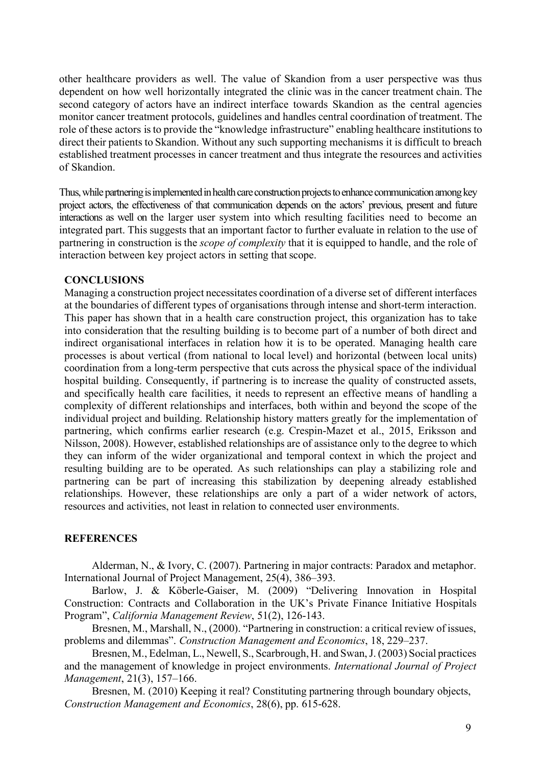other healthcare providers as well. The value of Skandion from a user perspective was thus dependent on how well horizontally integrated the clinic was in the cancer treatment chain. The second category of actors have an indirect interface towards Skandion as the central agencies monitor cancer treatment protocols, guidelines and handles central coordination of treatment. The role of these actors isto provide the "knowledge infrastructure" enabling healthcare institutions to direct their patients to Skandion. Without any such supporting mechanisms it is difficult to breach established treatment processes in cancer treatment and thus integrate the resources and activities of Skandion.

Thus, while partnering is implemented in health care construction projects to enhance communication among key project actors, the effectiveness of that communication depends on the actors' previous, present and future interactions as well on the larger user system into which resulting facilities need to become an integrated part. This suggests that an important factor to further evaluate in relation to the use of partnering in construction is the *scope of complexity* that it is equipped to handle, and the role of interaction between key project actors in setting that scope.

#### **CONCLUSIONS**

Managing a construction project necessitates coordination of a diverse set of different interfaces at the boundaries of different types of organisations through intense and short-term interaction. This paper has shown that in a health care construction project, this organization has to take into consideration that the resulting building is to become part of a number of both direct and indirect organisational interfaces in relation how it is to be operated. Managing health care processes is about vertical (from national to local level) and horizontal (between local units) coordination from a long-term perspective that cuts across the physical space of the individual hospital building. Consequently, if partnering is to increase the quality of constructed assets, and specifically health care facilities, it needs to represent an effective means of handling a complexity of different relationships and interfaces, both within and beyond the scope of the individual project and building. Relationship history matters greatly for the implementation of partnering, which confirms earlier research (e.g. Crespin-Mazet et al., 2015, Eriksson and Nilsson, 2008). However, established relationships are of assistance only to the degree to which they can inform of the wider organizational and temporal context in which the project and resulting building are to be operated. As such relationships can play a stabilizing role and partnering can be part of increasing this stabilization by deepening already established relationships. However, these relationships are only a part of a wider network of actors, resources and activities, not least in relation to connected user environments.

#### **REFERENCES**

Alderman, N., & Ivory, C. (2007). Partnering in major contracts: Paradox and metaphor. International Journal of Project Management, 25(4), 386–393.

Barlow, J. & Köberle-Gaiser, M. (2009) "Delivering Innovation in Hospital Construction: Contracts and Collaboration in the UK's Private Finance Initiative Hospitals Program", *California Management Review*, 51(2), 126-143.

Bresnen, M., Marshall, N., (2000). "Partnering in construction: a critical review of issues, problems and dilemmas". *Construction Management and Economics*, 18, 229–237.

Bresnen, M., Edelman, L., Newell, S., Scarbrough, H. and Swan, J. (2003) Social practices and the management of knowledge in project environments. *International Journal of Project Management*, 21(3), 157–166.

Bresnen, M. (2010) Keeping it real? Constituting partnering through boundary objects, *Construction Management and Economics*, 28(6), pp. 615-628.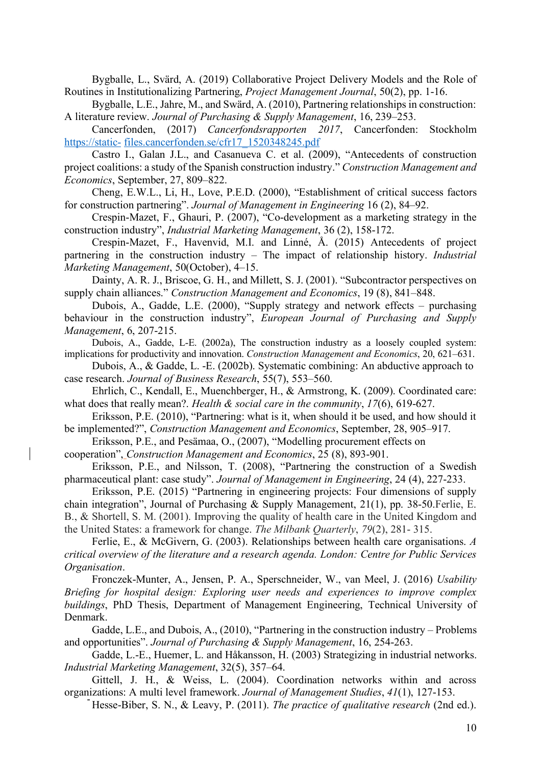Bygballe, L., Svärd, A. (2019) Collaborative Project Delivery Models and the Role of Routines in Institutionalizing Partnering, *Project Management Journal*, 50(2), pp. 1-16.

Bygballe, L.E., Jahre, M., and Swärd, A. (2010), Partnering relationships in construction: A literature review. *Journal of Purchasing & Supply Management*, 16, 239–253.

Cancerfonden, (2017) *Cancerfondsrapporten 2017*, Cancerfonden: Stockholm https://static- files.cancerfonden.se/cfr17\_1520348245.pdf

Castro I., Galan J.L., and Casanueva C. et al. (2009), "Antecedents of construction project coalitions: a study of the Spanish construction industry." *Construction Management and Economics*, September, 27, 809–822.

Cheng, E.W.L., Li, H., Love, P.E.D. (2000), "Establishment of critical success factors for construction partnering". *Journal of Management in Engineering* 16 (2), 84–92.

Crespin-Mazet, F., Ghauri, P. (2007), "Co-development as a marketing strategy in the construction industry", *Industrial Marketing Management*, 36 (2), 158-172.

Crespin-Mazet, F., Havenvid, M.I. and Linné, Å. (2015) Antecedents of project partnering in the construction industry – The impact of relationship history. *Industrial Marketing Management*, 50(October), 4–15.

Dainty, A. R. J., Briscoe, G. H., and Millett, S. J. (2001). "Subcontractor perspectives on supply chain alliances." *Construction Management and Economics*, 19 (8), 841–848.

Dubois, A., Gadde, L.E. (2000), "Supply strategy and network effects – purchasing behaviour in the construction industry", *European Journal of Purchasing and Supply Management*, 6, 207-215.

Dubois, A., Gadde, L-E. (2002a), The construction industry as a loosely coupled system: implications for productivity and innovation. *Construction Management and Economics*, 20, 621–631.

Dubois, A., & Gadde, L. -E. (2002b). Systematic combining: An abductive approach to case research. *Journal of Business Research*, 55(7), 553–560.

Ehrlich, C., Kendall, E., Muenchberger, H., & Armstrong, K. (2009). Coordinated care: what does that really mean?. *Health & social care in the community*, *17*(6), 619-627.

Eriksson, P.E. (2010), "Partnering: what is it, when should it be used, and how should it be implemented?", *Construction Management and Economics*, September, 28, 905–917.

Eriksson, P.E., and Pesämaa, O., (2007), "Modelling procurement effects on

cooperation", *Construction Management and Economics*, 25 (8), 893-901.

Eriksson, P.E., and Nilsson, T. (2008), "Partnering the construction of a Swedish pharmaceutical plant: case study". *Journal of Management in Engineering*, 24 (4), 227-233.

Eriksson, P.E. (2015) "Partnering in engineering projects: Four dimensions of supply chain integration", Journal of Purchasing & Supply Management, 21(1), pp. 38-50.Ferlie, E. B., & Shortell, S. M. (2001). Improving the quality of health care in the United Kingdom and the United States: a framework for change. *The Milbank Quarterly*, *79*(2), 281- 315.

Ferlie, E., & McGivern, G. (2003). Relationships between health care organisations. *A critical overview of the literature and a research agenda. London: Centre for Public Services Organisation*.

Fronczek-Munter, A., Jensen, P. A., Sperschneider, W., van Meel, J. (2016) *Usability Briefing for hospital design: Exploring user needs and experiences to improve complex buildings*, PhD Thesis, Department of Management Engineering, Technical University of Denmark.

Gadde, L.E., and Dubois, A., (2010), "Partnering in the construction industry – Problems and opportunities". *Journal of Purchasing & Supply Management*, 16, 254-263.

Gadde, L.-E., Huemer, L. and Håkansson, H. (2003) Strategizing in industrial networks. *Industrial Marketing Management*, 32(5), 357–64.

- organizations: A multi level framework. *Journal of Management Studies*, *41*(1), 127-153. Gittell, J. H., & Weiss, L. (2004). Coordination networks within and across

Hesse-Biber, S. N., & Leavy, P. (2011). *The practice of qualitative research* (2nd ed.).